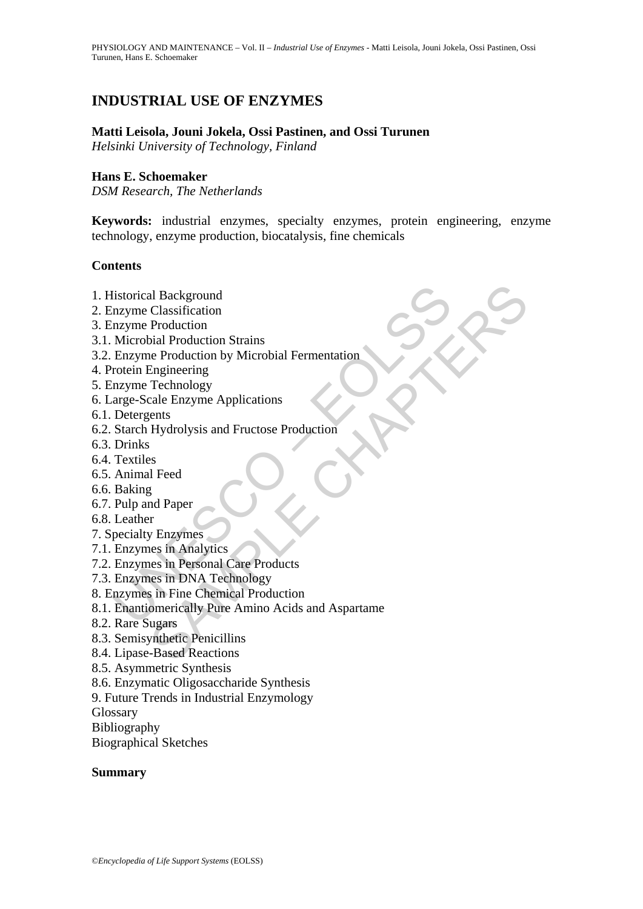# **INDUSTRIAL USE OF ENZYMES**

#### **Matti Leisola, Jouni Jokela, Ossi Pastinen, and Ossi Turunen**

*Helsinki University of Technology, Finland* 

#### **Hans E. Schoemaker**

*DSM Research, The Netherlands* 

**Keywords:** industrial enzymes, specialty enzymes, protein engineering, enzyme technology, enzyme production, biocatalysis, fine chemicals

#### **Contents**

- 1. Historical Background
- 2. Enzyme Classification
- 3. Enzyme Production
- 3.1. Microbial Production Strains
- 3.2. Enzyme Production by Microbial Fermentation
- 4. Protein Engineering
- 5. Enzyme Technology
- 6. Large-Scale Enzyme Applications
- 6.1. Detergents
- 6.2. Starch Hydrolysis and Fructose Production
- 6.3. Drinks
- 6.4. Textiles
- 6.5. Animal Feed
- 6.6. Baking
- 6.7. Pulp and Paper
- 6.8. Leather
- 7. Specialty Enzymes
- 7.1. Enzymes in Analytics
- 7.2. Enzymes in Personal Care Products
- 7.3. Enzymes in DNA Technology
- 8. Enzymes in Fine Chemical Production
- listorical Background<br>
mayme Classification<br>
mayme Production<br>
Microbial Production<br>
Microbial Production<br>
Enzyme Production<br>
mayme Technology<br>
mayme Technology<br>
arge-Scale Enzyme Applications<br>
Detergents<br>
Starch Hydrolysi al Background<br>
Classification<br>
Production<br>
Production Strains<br>
are Production Strains<br>
Engineering<br>
Technology<br>
Technology<br>
Else Enzyme Applications<br>
Engineering<br>
Hydrolysis and Fructose Production<br>
Production<br>
Tray Enzyme 8.1. Enantiomerically Pure Amino Acids and Aspartame
- 8.2. Rare Sugars
- 8.3. Semisynthetic Penicillins
- 8.4. Lipase-Based Reactions
- 8.5. Asymmetric Synthesis
- 8.6. Enzymatic Oligosaccharide Synthesis
- 9. Future Trends in Industrial Enzymology

**Glossary** 

Bibliography

Biographical Sketches

#### **Summary**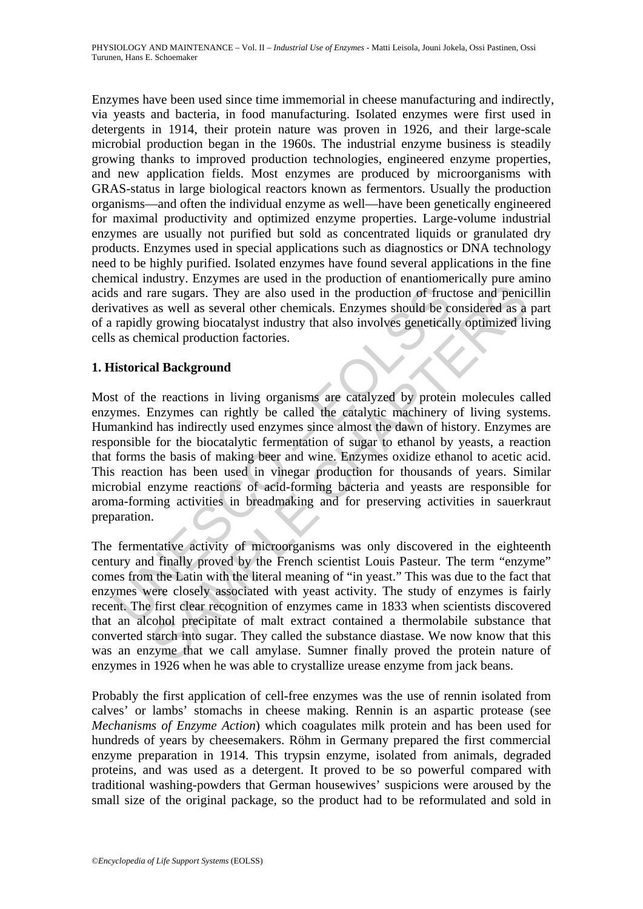Enzymes have been used since time immemorial in cheese manufacturing and indirectly, via yeasts and bacteria, in food manufacturing. Isolated enzymes were first used in detergents in 1914, their protein nature was proven in 1926, and their large-scale microbial production began in the 1960s. The industrial enzyme business is steadily growing thanks to improved production technologies, engineered enzyme properties, and new application fields. Most enzymes are produced by microorganisms with GRAS-status in large biological reactors known as fermentors. Usually the production organisms—and often the individual enzyme as well—have been genetically engineered for maximal productivity and optimized enzyme properties. Large-volume industrial enzymes are usually not purified but sold as concentrated liquids or granulated dry products. Enzymes used in special applications such as diagnostics or DNA technology need to be highly purified. Isolated enzymes have found several applications in the fine chemical industry. Enzymes are used in the production of enantiomerically pure amino acids and rare sugars. They are also used in the production of fructose and penicillin derivatives as well as several other chemicals. Enzymes should be considered as a part of a rapidly growing biocatalyst industry that also involves genetically optimized living cells as chemical production factories.

#### **1. Historical Background**

Is and rare sugars. They are also used in the production of fruce vatives as well as several other chemicals. Enzymes should be corapidly growing biocatalyst industry that also involves geneticall as chemical production fa They are also used in the production of fructose and penical strace sugars. They are also used in the production of fructose and penic<br>as well as several other chemicals. Enzymes should be considered as a<br>growing biocataly Most of the reactions in living organisms are catalyzed by protein molecules called enzymes. Enzymes can rightly be called the catalytic machinery of living systems. Humankind has indirectly used enzymes since almost the dawn of history. Enzymes are responsible for the biocatalytic fermentation of sugar to ethanol by yeasts, a reaction that forms the basis of making beer and wine. Enzymes oxidize ethanol to acetic acid. This reaction has been used in vinegar production for thousands of years. Similar microbial enzyme reactions of acid-forming bacteria and yeasts are responsible for aroma-forming activities in breadmaking and for preserving activities in sauerkraut preparation.

The fermentative activity of microorganisms was only discovered in the eighteenth century and finally proved by the French scientist Louis Pasteur. The term "enzyme" comes from the Latin with the literal meaning of "in yeast." This was due to the fact that enzymes were closely associated with yeast activity. The study of enzymes is fairly recent. The first clear recognition of enzymes came in 1833 when scientists discovered that an alcohol precipitate of malt extract contained a thermolabile substance that converted starch into sugar. They called the substance diastase. We now know that this was an enzyme that we call amylase. Sumner finally proved the protein nature of enzymes in 1926 when he was able to crystallize urease enzyme from jack beans.

Probably the first application of cell-free enzymes was the use of rennin isolated from calves' or lambs' stomachs in cheese making. Rennin is an aspartic protease (see *Mechanisms of Enzyme Action*) which coagulates milk protein and has been used for hundreds of years by cheesemakers. Röhm in Germany prepared the first commercial enzyme preparation in 1914. This trypsin enzyme, isolated from animals, degraded proteins, and was used as a detergent. It proved to be so powerful compared with traditional washing-powders that German housewives' suspicions were aroused by the small size of the original package, so the product had to be reformulated and sold in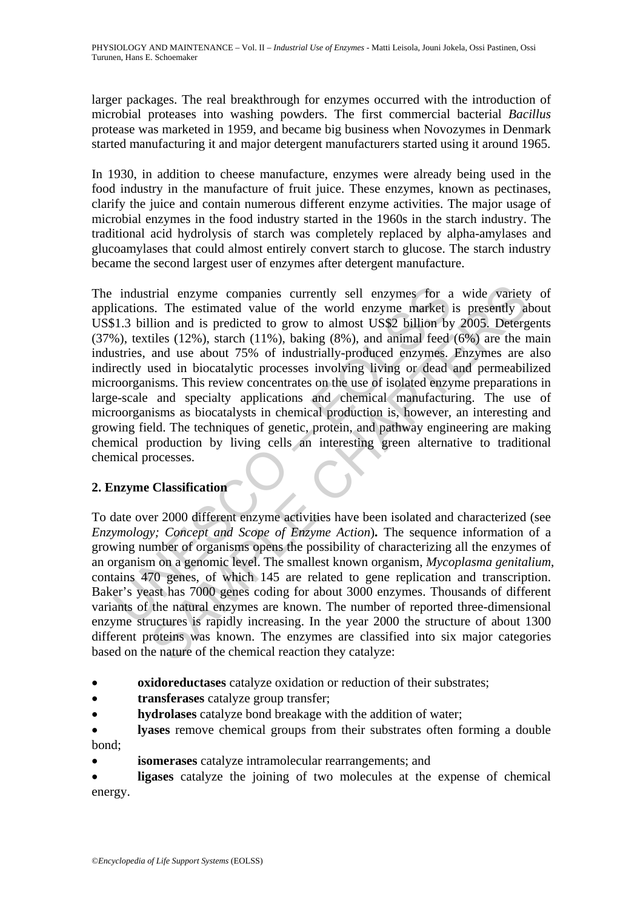larger packages. The real breakthrough for enzymes occurred with the introduction of microbial proteases into washing powders. The first commercial bacterial *Bacillus* protease was marketed in 1959, and became big business when Novozymes in Denmark started manufacturing it and major detergent manufacturers started using it around 1965.

In 1930, in addition to cheese manufacture, enzymes were already being used in the food industry in the manufacture of fruit juice. These enzymes, known as pectinases, clarify the juice and contain numerous different enzyme activities. The major usage of microbial enzymes in the food industry started in the 1960s in the starch industry. The traditional acid hydrolysis of starch was completely replaced by alpha-amylases and glucoamylases that could almost entirely convert starch to glucose. The starch industry became the second largest user of enzymes after detergent manufacture.

industrial enzyme companies currently sell enzymes for a<br>lications. The estimated value of the world enzyme market i<br>1.3 billion and is predicted to grow to almost US\$2 billion by<br>8%), textiles (12%), starch (11%), baking trial enzyme companies currently sell enzymes for a wide variety<br>s. The estimated value of the world enzyme market is presently all<br>ion and is predicted to grow to almost US\$2 billion by 2005. Deterge<br>ities (12%), starch The industrial enzyme companies currently sell enzymes for a wide variety of applications. The estimated value of the world enzyme market is presently about US\$1.3 billion and is predicted to grow to almost US\$2 billion by 2005. Detergents  $(37%)$ , textiles  $(12%)$ , starch  $(11%)$ , baking  $(8%)$ , and animal feed  $(6%)$  are the main industries, and use about 75% of industrially-produced enzymes. Enzymes are also indirectly used in biocatalytic processes involving living or dead and permeabilized microorganisms. This review concentrates on the use of isolated enzyme preparations in large-scale and specialty applications and chemical manufacturing. The use of microorganisms as biocatalysts in chemical production is, however, an interesting and growing field. The techniques of genetic, protein, and pathway engineering are making chemical production by living cells an interesting green alternative to traditional chemical processes.

## **2. Enzyme Classification**

To date over 2000 different enzyme activities have been isolated and characterized (see *Enzymology; Concept and Scope of Enzyme Action*)**.** The sequence information of a growing number of organisms opens the possibility of characterizing all the enzymes of an organism on a genomic level. The smallest known organism, *Mycoplasma genitalium*, contains 470 genes, of which 145 are related to gene replication and transcription. Baker's yeast has 7000 genes coding for about 3000 enzymes. Thousands of different variants of the natural enzymes are known. The number of reported three-dimensional enzyme structures is rapidly increasing. In the year 2000 the structure of about 1300 different proteins was known. The enzymes are classified into six major categories based on the nature of the chemical reaction they catalyze:

- **oxidoreductases** catalyze oxidation or reduction of their substrates;
- **transferases** catalyze group transfer;
- **hydrolases** catalyze bond breakage with the addition of water;
- **lyases** remove chemical groups from their substrates often forming a double bond;
- **isomerases** catalyze intramolecular rearrangements; and

**ligases** catalyze the joining of two molecules at the expense of chemical energy.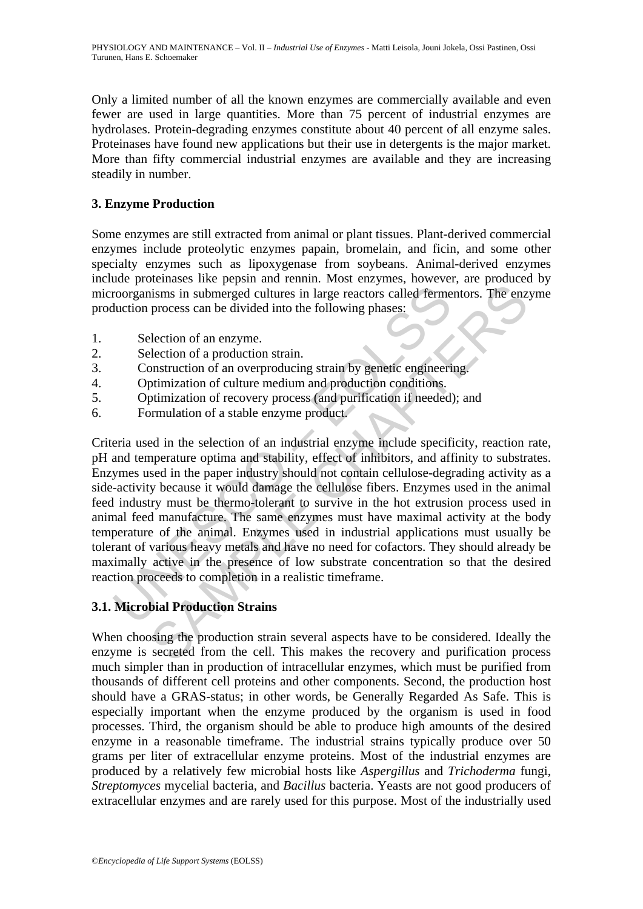Only a limited number of all the known enzymes are commercially available and even fewer are used in large quantities. More than 75 percent of industrial enzymes are hydrolases. Protein-degrading enzymes constitute about 40 percent of all enzyme sales. Proteinases have found new applications but their use in detergents is the major market. More than fifty commercial industrial enzymes are available and they are increasing steadily in number.

### **3. Enzyme Production**

Some enzymes are still extracted from animal or plant tissues. Plant-derived commercial enzymes include proteolytic enzymes papain, bromelain, and ficin, and some other specialty enzymes such as lipoxygenase from soybeans. Animal-derived enzymes include proteinases like pepsin and rennin. Most enzymes, however, are produced by microorganisms in submerged cultures in large reactors called fermentors. The enzyme production process can be divided into the following phases:

- 1. Selection of an enzyme.
- 2. Selection of a production strain.
- 3. Construction of an overproducing strain by genetic engineering.
- 4. Optimization of culture medium and production conditions.
- 5. Optimization of recovery process (and purification if needed); and
- 6. Formulation of a stable enzyme product.

roorganisms in submerged cultures in large reactors called ferme<br>
unction process can be divided into the following phases:<br>
Selection of an enzyme.<br>
Selection of an enzyme.<br>
Construction of an overproducing strain by gene Solution is the period and variant clearal content controls. The enzionisms in submerged cultures in large reactors called Fermentors. The enzinces can be divided into the following phases:<br>
election of an enzyme.<br>
electio Criteria used in the selection of an industrial enzyme include specificity, reaction rate, pH and temperature optima and stability, effect of inhibitors, and affinity to substrates. Enzymes used in the paper industry should not contain cellulose-degrading activity as a side-activity because it would damage the cellulose fibers. Enzymes used in the animal feed industry must be thermo-tolerant to survive in the hot extrusion process used in animal feed manufacture. The same enzymes must have maximal activity at the body temperature of the animal. Enzymes used in industrial applications must usually be tolerant of various heavy metals and have no need for cofactors. They should already be maximally active in the presence of low substrate concentration so that the desired reaction proceeds to completion in a realistic timeframe.

## **3.1. Microbial Production Strains**

When choosing the production strain several aspects have to be considered. Ideally the enzyme is secreted from the cell. This makes the recovery and purification process much simpler than in production of intracellular enzymes, which must be purified from thousands of different cell proteins and other components. Second, the production host should have a GRAS-status; in other words, be Generally Regarded As Safe. This is especially important when the enzyme produced by the organism is used in food processes. Third, the organism should be able to produce high amounts of the desired enzyme in a reasonable timeframe. The industrial strains typically produce over 50 grams per liter of extracellular enzyme proteins. Most of the industrial enzymes are produced by a relatively few microbial hosts like *Aspergillus* and *Trichoderma* fungi, *Streptomyces* mycelial bacteria, and *Bacillus* bacteria. Yeasts are not good producers of extracellular enzymes and are rarely used for this purpose. Most of the industrially used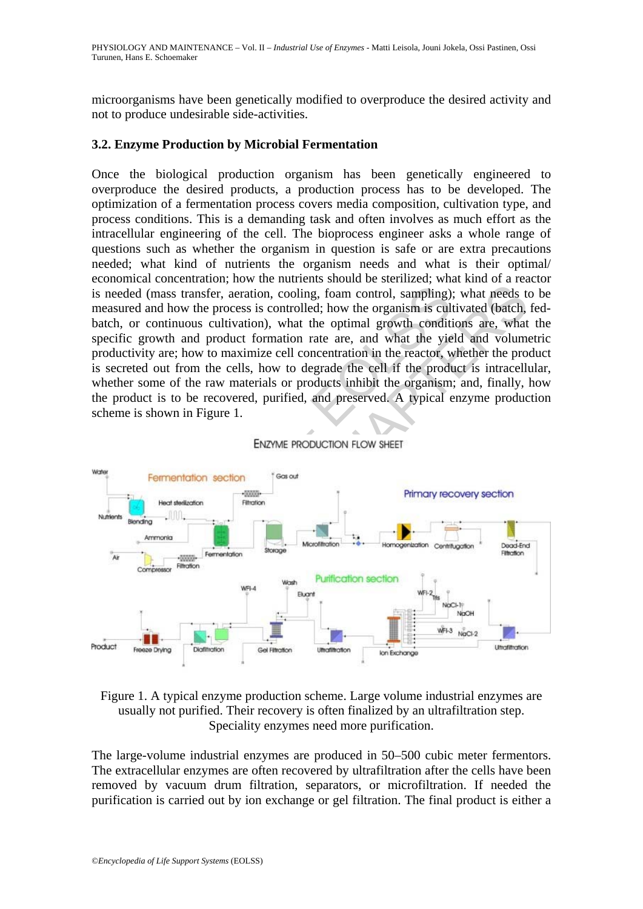microorganisms have been genetically modified to overproduce the desired activity and not to produce undesirable side-activities.

#### **3.2. Enzyme Production by Microbial Fermentation**

Once the biological production organism has been genetically engineered to overproduce the desired products, a production process has to be developed. The optimization of a fermentation process covers media composition, cultivation type, and process conditions. This is a demanding task and often involves as much effort as the intracellular engineering of the cell. The bioprocess engineer asks a whole range of questions such as whether the organism in question is safe or are extra precautions needed; what kind of nutrients the organism needs and what is their optimal/ economical concentration; how the nutrients should be sterilized; what kind of a reactor is needed (mass transfer, aeration, cooling, foam control, sampling); what needs to be measured and how the process is controlled; how the organism is cultivated (batch, fedbatch, or continuous cultivation), what the optimal growth conditions are, what the specific growth and product formation rate are, and what the yield and volumetric productivity are; how to maximize cell concentration in the reactor, whether the product is secreted out from the cells, how to degrade the cell if the product is intracellular, whether some of the raw materials or products inhibit the organism; and, finally, how the product is to be recovered, purified, and preserved. A typical enzyme production scheme is shown in Figure 1.



Figure 1. A typical enzyme production scheme. Large volume industrial enzymes are usually not purified. Their recovery is often finalized by an ultrafiltration step. Speciality enzymes need more purification.

The large-volume industrial enzymes are produced in 50–500 cubic meter fermentors. The extracellular enzymes are often recovered by ultrafiltration after the cells have been removed by vacuum drum filtration, separators, or microfiltration. If needed the purification is carried out by ion exchange or gel filtration. The final product is either a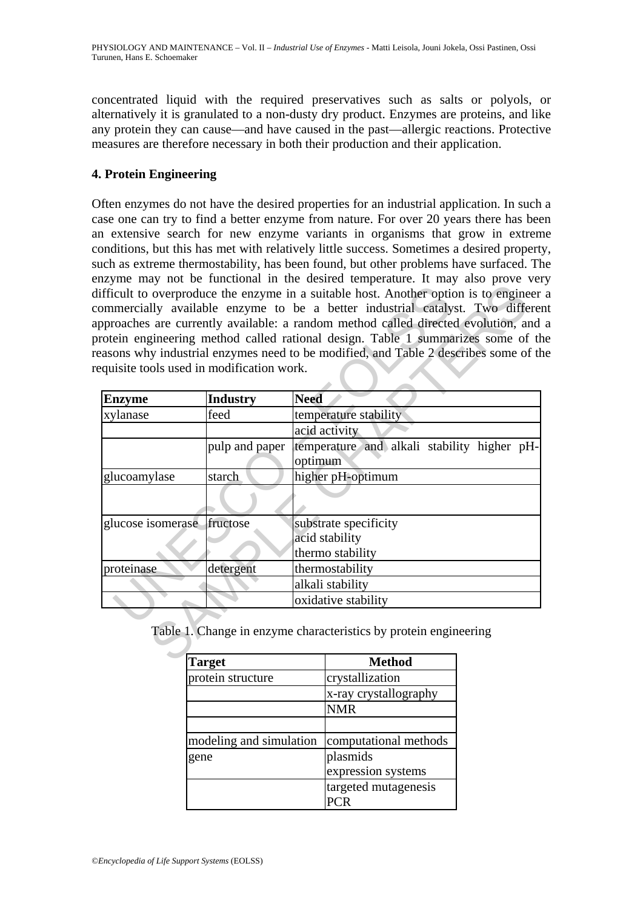concentrated liquid with the required preservatives such as salts or polyols, or alternatively it is granulated to a non-dusty dry product. Enzymes are proteins, and like any protein they can cause—and have caused in the past—allergic reactions. Protective measures are therefore necessary in both their production and their application.

#### **4. Protein Engineering**

Often enzymes do not have the desired properties for an industrial application. In such a case one can try to find a better enzyme from nature. For over 20 years there has been an extensive search for new enzyme variants in organisms that grow in extreme conditions, but this has met with relatively little success. Sometimes a desired property, such as extreme thermostability, has been found, but other problems have surfaced. The enzyme may not be functional in the desired temperature. It may also prove very difficult to overproduce the enzyme in a suitable host. Another option is to engineer a commercially available enzyme to be a better industrial catalyst. Two different approaches are currently available: a random method called directed evolution, and a protein engineering method called rational design. Table 1 summarizes some of the reasons why industrial enzymes need to be modified, and Table 2 describes some of the requisite tools used in modification work.

|                                           |                 | ommercially available enzyme to be a better industrial catalyst. Two different<br>pproaches are currently available: a random method called directed evolution, and<br>rotein engineering method called rational design. Table 1 summarizes some of th |  |
|-------------------------------------------|-----------------|--------------------------------------------------------------------------------------------------------------------------------------------------------------------------------------------------------------------------------------------------------|--|
|                                           |                 | easons why industrial enzymes need to be modified, and Table 2 describes some of th                                                                                                                                                                    |  |
| equisite tools used in modification work. |                 |                                                                                                                                                                                                                                                        |  |
| <b>Enzyme</b>                             | <b>Industry</b> | <b>Need</b>                                                                                                                                                                                                                                            |  |
| xylanase                                  | feed            | temperature stability                                                                                                                                                                                                                                  |  |
|                                           |                 | acid activity                                                                                                                                                                                                                                          |  |
|                                           | pulp and paper  | temperature and alkali stability higher pH-<br>optimum                                                                                                                                                                                                 |  |
| glucoamylase                              | starch          | higher pH-optimum                                                                                                                                                                                                                                      |  |
|                                           |                 |                                                                                                                                                                                                                                                        |  |
| glucose isomerase fructose                |                 | substrate specificity                                                                                                                                                                                                                                  |  |
|                                           |                 | acid stability                                                                                                                                                                                                                                         |  |
|                                           |                 | thermo stability                                                                                                                                                                                                                                       |  |
| proteinase                                | detergent       | thermostability                                                                                                                                                                                                                                        |  |
|                                           |                 | alkali stability                                                                                                                                                                                                                                       |  |
|                                           |                 | oxidative stability                                                                                                                                                                                                                                    |  |
|                                           |                 | Table 1. Change in enzyme characteristics by protein engineering                                                                                                                                                                                       |  |
|                                           | Toraat          | Mathod                                                                                                                                                                                                                                                 |  |

| <b>Target</b>           | <b>Method</b>         |
|-------------------------|-----------------------|
| protein structure       | crystallization       |
|                         | x-ray crystallography |
|                         | <b>NMR</b>            |
|                         |                       |
| modeling and simulation | computational methods |
| gene                    | plasmids              |
|                         | expression systems    |
|                         | targeted mutagenesis  |
|                         |                       |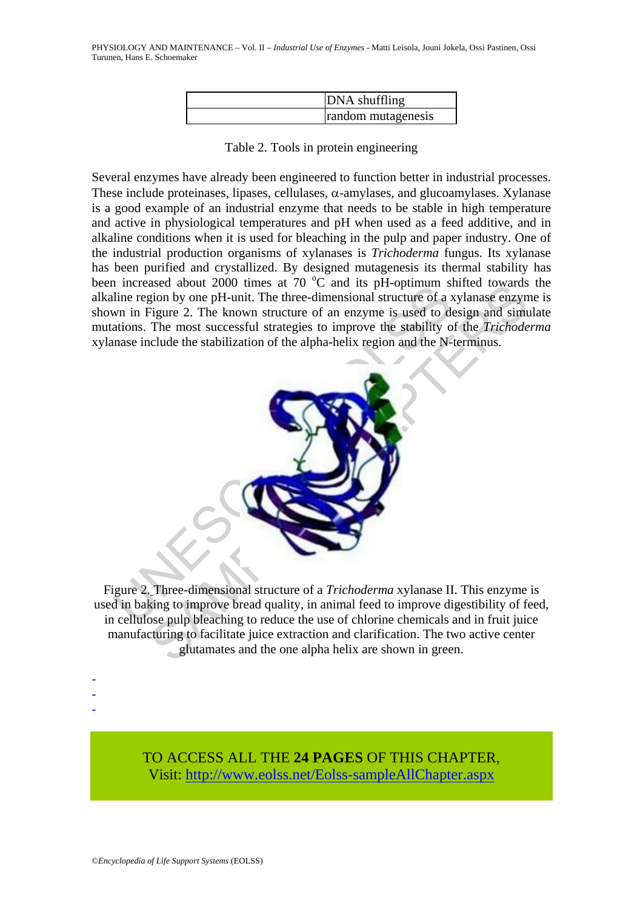| DNA shuffling      |
|--------------------|
| random mutagenesis |

Table 2. Tools in protein engineering

Several enzymes have already been engineered to function better in industrial processes. These include proteinases, lipases, cellulases,  $\alpha$ -amylases, and glucoamylases. Xylanase is a good example of an industrial enzyme that needs to be stable in high temperature and active in physiological temperatures and pH when used as a feed additive, and in alkaline conditions when it is used for bleaching in the pulp and paper industry. One of the industrial production organisms of xylanases is *Trichoderma* fungus. Its xylanase has been purified and crystallized. By designed mutagenesis its thermal stability has been increased about 2000 times at  $70\,^{\circ}\text{C}$  and its pH-optimum shifted towards the alkaline region by one pH-unit. The three-dimensional structure of a xylanase enzyme is shown in Figure 2. The known structure of an enzyme is used to design and simulate mutations. The most successful strategies to improve the stability of the *Trichoderma*  xylanase include the stabilization of the alpha-helix region and the N-terminus.



Figure 2. Three-dimensional structure of a *Trichoderma* xylanase II. This enzyme is used in baking to improve bread quality, in animal feed to improve digestibility of feed, in cellulose pulp bleaching to reduce the use of chlorine chemicals and in fruit juice manufacturing to facilitate juice extraction and clarification. The two active center glutamates and the one alpha helix are shown in green.

-

-

-

TO ACCESS ALL THE **24 PAGES** OF THIS CHAPTER, Visi[t: http://www.eolss.net/Eolss-sampleAllChapter.aspx](https://www.eolss.net/ebooklib/sc_cart.aspx?File=E6-54-02-10)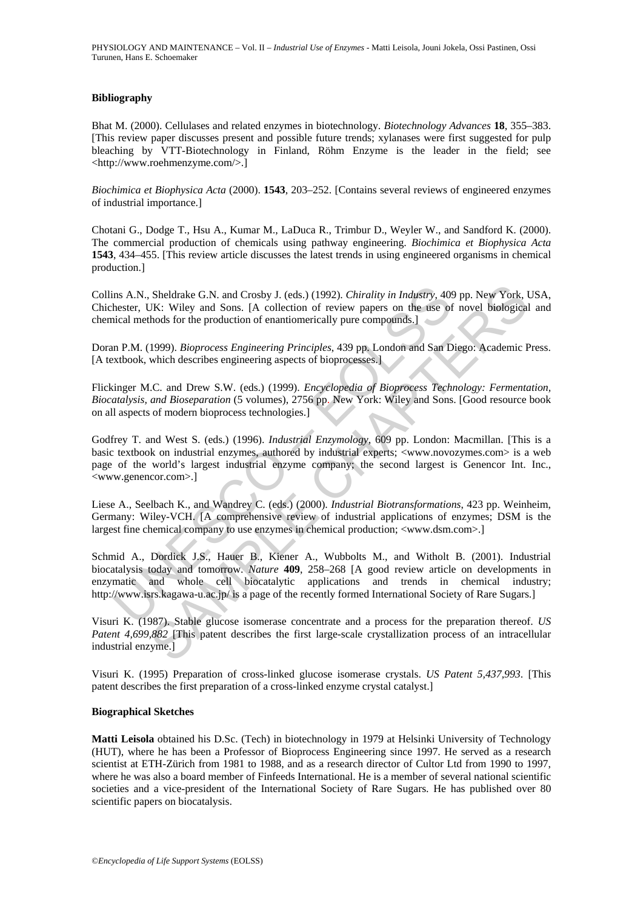#### **Bibliography**

Bhat M. (2000). Cellulases and related enzymes in biotechnology. *Biotechnology Advances* **18**, 355–383. [This review paper discusses present and possible future trends; xylanases were first suggested for pulp bleaching by VTT-Biotechnology in Finland, Röhm Enzyme is the leader in the field; see <http://www.roehmenzyme.com/>.]

*Biochimica et Biophysica Acta* (2000). **1543**, 203–252. [Contains several reviews of engineered enzymes of industrial importance.]

Chotani G., Dodge T., Hsu A., Kumar M., LaDuca R., Trimbur D., Weyler W., and Sandford K. (2000). The commercial production of chemicals using pathway engineering. *Biochimica et Biophysica Acta*  **1543**, 434–455. [This review article discusses the latest trends in using engineered organisms in chemical production.]

Collins A.N., Sheldrake G.N. and Crosby J. (eds.) (1992). *Chirality in Industry*, 409 pp. New York, USA, Chichester, UK: Wiley and Sons. [A collection of review papers on the use of novel biological and chemical methods for the production of enantiomerically pure compounds.]

Doran P.M. (1999). *Bioprocess Engineering Principles*, 439 pp. London and San Diego: Academic Press. [A textbook, which describes engineering aspects of bioprocesses.]

Flickinger M.C. and Drew S.W. (eds.) (1999). *Encyclopedia of Bioprocess Technology: Fermentation, Biocatalysis, and Bioseparation* (5 volumes), 2756 pp. New York: Wiley and Sons. [Good resource book on all aspects of modern bioprocess technologies.]

Godfrey T. and West S. (eds.) (1996). *Industrial Enzymology*, 609 pp. London: Macmillan. [This is a basic textbook on industrial enzymes, authored by industrial experts; <www.novozymes.com> is a web page of the world's largest industrial enzyme company; the second largest is Genencor Int. Inc., <www.genencor.com>.]

Liese A., Seelbach K., and Wandrey C. (eds.) (2000). *Industrial Biotransformations*, 423 pp. Weinheim, Germany: Wiley-VCH. [A comprehensive review of industrial applications of enzymes; DSM is the largest fine chemical company to use enzymes in chemical production; <www.dsm.com>.]

Ins A.N., Sheldrake G.N. and Crosby J. (eds.) (1992). *Chirality in Industry*, 408<br>hester, UK: Wiley and Sons. [A collection of review papers on the use of<br>ical methods for the production of enantiomerically pure compounds Sheldrake G.N. and Crosby J. (eds.) (1992). *Chirality in Industry*, 409 pp. New York, JK: Wiley and Sons. [A collection of review papers on the use of novel biological<br>hods for the production of enantiomerically pure comp Schmid A., Dordick J.S., Hauer B., Kiener A., Wubbolts M., and Witholt B. (2001). Industrial biocatalysis today and tomorrow. *Nature* **409**, 258–268 [A good review article on developments in enzymatic and whole cell biocatalytic applications and trends in chemical industry; http://www.isrs.kagawa-u.ac.jp/ is a page of the recently formed International Society of Rare Sugars.]

Visuri K. (1987). Stable glucose isomerase concentrate and a process for the preparation thereof. *US Patent 4,699,882* [This patent describes the first large-scale crystallization process of an intracellular industrial enzyme.]

Visuri K. (1995) Preparation of cross-linked glucose isomerase crystals. *US Patent 5,437,993*. [This patent describes the first preparation of a cross-linked enzyme crystal catalyst.]

#### **Biographical Sketches**

**Matti Leisola** obtained his D.Sc. (Tech) in biotechnology in 1979 at Helsinki University of Technology (HUT), where he has been a Professor of Bioprocess Engineering since 1997. He served as a research scientist at ETH-Zürich from 1981 to 1988, and as a research director of Cultor Ltd from 1990 to 1997, where he was also a board member of Finfeeds International. He is a member of several national scientific societies and a vice-president of the International Society of Rare Sugars. He has published over 80 scientific papers on biocatalysis.